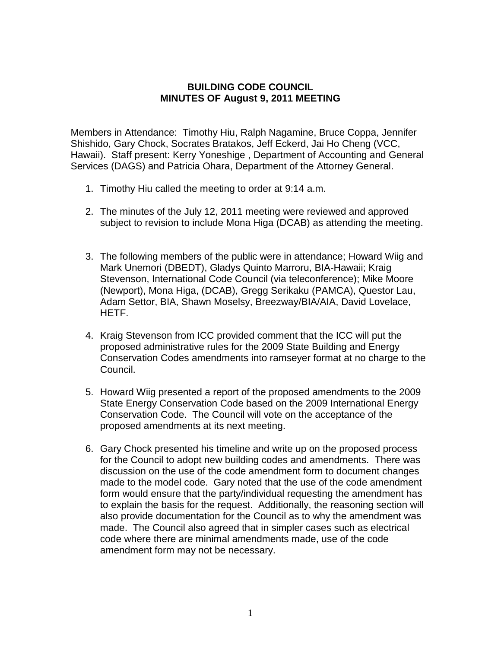## **BUILDING CODE COUNCIL MINUTES OF August 9, 2011 MEETING**

Members in Attendance: Timothy Hiu, Ralph Nagamine, Bruce Coppa, Jennifer Shishido, Gary Chock, Socrates Bratakos, Jeff Eckerd, Jai Ho Cheng (VCC, Hawaii). Staff present: Kerry Yoneshige , Department of Accounting and General Services (DAGS) and Patricia Ohara, Department of the Attorney General.

- 1. Timothy Hiu called the meeting to order at 9:14 a.m.
- 2. The minutes of the July 12, 2011 meeting were reviewed and approved subject to revision to include Mona Higa (DCAB) as attending the meeting.
- 3. The following members of the public were in attendance; Howard Wiig and Mark Unemori (DBEDT), Gladys Quinto Marroru, BIA-Hawaii; Kraig Stevenson, International Code Council (via teleconference); Mike Moore (Newport), Mona Higa, (DCAB), Gregg Serikaku (PAMCA), Questor Lau, Adam Settor, BIA, Shawn Moselsy, Breezway/BIA/AIA, David Lovelace, HETF.
- 4. Kraig Stevenson from ICC provided comment that the ICC will put the proposed administrative rules for the 2009 State Building and Energy Conservation Codes amendments into ramseyer format at no charge to the Council.
- 5. Howard Wiig presented a report of the proposed amendments to the 2009 State Energy Conservation Code based on the 2009 International Energy Conservation Code. The Council will vote on the acceptance of the proposed amendments at its next meeting.
- 6. Gary Chock presented his timeline and write up on the proposed process for the Council to adopt new building codes and amendments. There was discussion on the use of the code amendment form to document changes made to the model code. Gary noted that the use of the code amendment form would ensure that the party/individual requesting the amendment has to explain the basis for the request. Additionally, the reasoning section will also provide documentation for the Council as to why the amendment was made. The Council also agreed that in simpler cases such as electrical code where there are minimal amendments made, use of the code amendment form may not be necessary.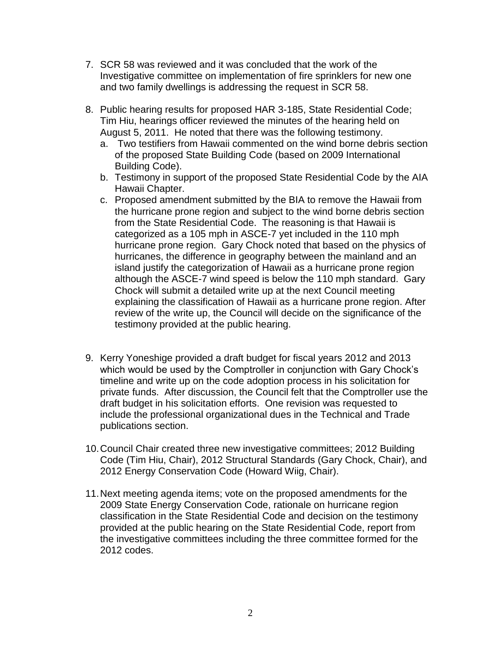- 7. SCR 58 was reviewed and it was concluded that the work of the Investigative committee on implementation of fire sprinklers for new one and two family dwellings is addressing the request in SCR 58.
- 8. Public hearing results for proposed HAR 3-185, State Residential Code; Tim Hiu, hearings officer reviewed the minutes of the hearing held on August 5, 2011. He noted that there was the following testimony.
	- a. Two testifiers from Hawaii commented on the wind borne debris section of the proposed State Building Code (based on 2009 International Building Code).
	- b. Testimony in support of the proposed State Residential Code by the AIA Hawaii Chapter.
	- c. Proposed amendment submitted by the BIA to remove the Hawaii from the hurricane prone region and subject to the wind borne debris section from the State Residential Code. The reasoning is that Hawaii is categorized as a 105 mph in ASCE-7 yet included in the 110 mph hurricane prone region. Gary Chock noted that based on the physics of hurricanes, the difference in geography between the mainland and an island justify the categorization of Hawaii as a hurricane prone region although the ASCE-7 wind speed is below the 110 mph standard. Gary Chock will submit a detailed write up at the next Council meeting explaining the classification of Hawaii as a hurricane prone region. After review of the write up, the Council will decide on the significance of the testimony provided at the public hearing.
- 9. Kerry Yoneshige provided a draft budget for fiscal years 2012 and 2013 which would be used by the Comptroller in conjunction with Gary Chock's timeline and write up on the code adoption process in his solicitation for private funds. After discussion, the Council felt that the Comptroller use the draft budget in his solicitation efforts. One revision was requested to include the professional organizational dues in the Technical and Trade publications section.
- 10.Council Chair created three new investigative committees; 2012 Building Code (Tim Hiu, Chair), 2012 Structural Standards (Gary Chock, Chair), and 2012 Energy Conservation Code (Howard Wiig, Chair).
- 11.Next meeting agenda items; vote on the proposed amendments for the 2009 State Energy Conservation Code, rationale on hurricane region classification in the State Residential Code and decision on the testimony provided at the public hearing on the State Residential Code, report from the investigative committees including the three committee formed for the 2012 codes.